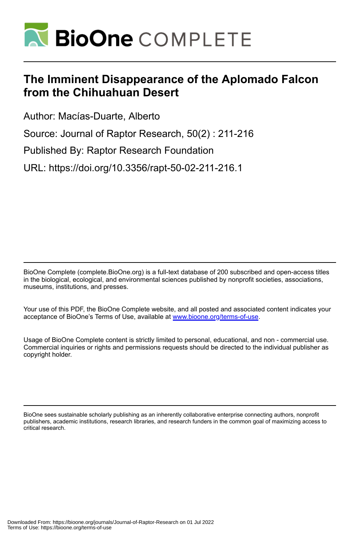

# **The Imminent Disappearance of the Aplomado Falcon from the Chihuahuan Desert**

Author: Macías-Duarte, Alberto

Source: Journal of Raptor Research, 50(2) : 211-216

Published By: Raptor Research Foundation

URL: https://doi.org/10.3356/rapt-50-02-211-216.1

BioOne Complete (complete.BioOne.org) is a full-text database of 200 subscribed and open-access titles in the biological, ecological, and environmental sciences published by nonprofit societies, associations, museums, institutions, and presses.

Your use of this PDF, the BioOne Complete website, and all posted and associated content indicates your acceptance of BioOne's Terms of Use, available at www.bioone.org/terms-of-use.

Usage of BioOne Complete content is strictly limited to personal, educational, and non - commercial use. Commercial inquiries or rights and permissions requests should be directed to the individual publisher as copyright holder.

BioOne sees sustainable scholarly publishing as an inherently collaborative enterprise connecting authors, nonprofit publishers, academic institutions, research libraries, and research funders in the common goal of maximizing access to critical research.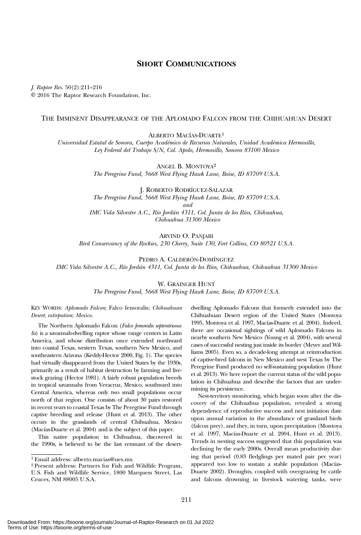# SHORT COMMUNICATIONS

J. Raptor Res. 50(2):211–216 E 2016 The Raptor Research Foundation, Inc.

### THE IMMINENT DISAPPEARANCE OF THE APLOMADO FALCON FROM THE CHIHUAHUAN DESERT

ALBERTO MACÍAS-DUARTE1

Universidad Estatal de Sonora, Cuerpo Académico de Recursos Naturales, Unidad Académica Hermosillo, Ley Federal del Trabajo S/N, Col. Apolo, Hermosillo, Sonora 83100 Mexico

ANGEL B. MONTOYA2

The Peregrine Fund, 5668 West Flying Hawk Lane, Boise, ID 83709 U.S.A.

J. ROBERTO RODRÍGUEZ-SALAZAR The Peregrine Fund, 5668 West Flying Hawk Lane, Boise, ID 83709 U.S.A. and IMC Vida Silvestre A.C., Río Jordán 4311, Col. Junta de los Ríos, Chihuahua, Chihuahua 31300 Mexico

ARVIND O. PANJABI Bird Conservancy of the Rockies, 230 Cherry, Suite 130, Fort Collins, CO 80521 U.S.A.

PEDRO A. CALDERÓN-DOMÍNGUEZ

IMC Vida Silvestre A.C., Río Jordán 4311, Col. Junta de los Ríos, Chihuahua, Chihuahua 31300 Mexico

W. GRAINGER HUNT

The Peregrine Fund, 5668 West Flying Hawk Lane, Boise, ID 83709 U.S.A.

KEY WORDS: Aplomado Falcon; Falco femoralis; Chihuahuan Desert; extirpation; Mexico.

The Northern Aplomado Falcon (Falco femoralis septentrionalis) is a savannah-dwelling raptor whose range centers in Latin America, and whose distribution once extended northward into coastal Texas, western Texas, southern New Mexico, and southeastern Arizona (Keddy-Hector 2000, Fig. 1). The species had virtually disappeared from the United States by the 1930s, primarily as a result of habitat destruction by farming and livestock grazing (Hector 1981). A fairly robust population breeds in tropical savannahs from Veracruz, Mexico, southward into Central America, whereas only two small populations occur north of that region. One consists of about 30 pairs restored in recent years to coastal Texas by The Peregrine Fund through captive breeding and release (Hunt et al. 2013). The other occurs in the grasslands of central Chihuahua, Mexico (Macías-Duarte et al. 2004) and is the subject of this paper.

This native population in Chihuahua, discovered in the 1990s, is believed to be the last remnant of the desert-

dwelling Aplomado Falcons that formerly extended into the Chihuahuan Desert region of the United States (Montoya 1995, Montoya et al. 1997, Macías-Duarte et al. 2004). Indeed, there are occasional sightings of wild Aplomado Falcons in nearby southern New Mexico (Young et al. 2004), with several cases of successful nesting just inside its border (Meyer and Williams 2005). Even so, a decade-long attempt at reintroduction of captive-bred falcons in New Mexico and west Texas by The Peregrine Fund produced no self-sustaining population (Hunt et al. 2013). We here report the current status of the wild population in Chihuahua and describe the factors that are undermining its persistence.

Nest-territory monitoring, which began soon after the discovery of the Chihuahua population, revealed a strong dependence of reproductive success and nest initiation date upon annual variation in the abundance of grassland birds (falcon prey), and they, in turn, upon precipitation (Montoya et al. 1997, Macías-Duarte et al. 2004, Hunt et al. 2013). Trends in nesting success suggested that this population was declining by the early 2000s. Overall mean productivity during that period (0.83 fledglings per mated pair per year) appeared too low to sustain a stable population (Macías-Duarte 2002). Droughts, coupled with overgrazing by cattle and falcons drowning in livestock watering tanks, were

<sup>1</sup> Email address: alberto.macias@ues.mx

<sup>2</sup> Present address: Partners for Fish and Wildlife Program, U.S. Fish and Wildlife Service, 1800 Marquess Street, Las Cruces, NM 88005 U.S.A.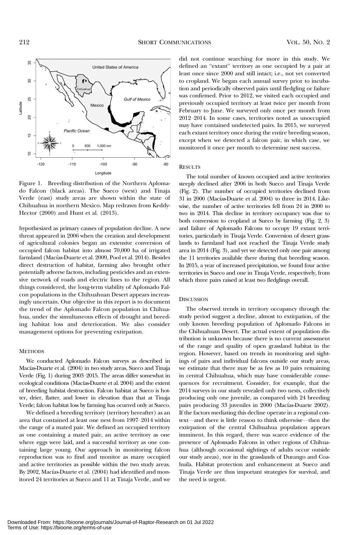

Figure 1. Breeding distribution of the Northern Aplomado Falcon (black areas). The Sueco (west) and Tinaja Verde (east) study areas are shown within the state of Chihuahua in northern Mexico. Map redrawn from Keddy-Hector (2000) and Hunt et al. (2013).

hypothesized as primary causes of population decline. A new threat appeared in 2006 when the creation and development of agricultural colonies began an extensive conversion of occupied falcon habitat into almost 70,000 ha of irrigated farmland (Macías-Duarte et al. 2009, Pool et al. 2014). Besides direct destruction of habitat, farming also brought other potentially adverse factors, including pesticides and an extensive network of roads and electric lines to the region. All things considered, the long-term viability of Aplomado Falcon populations in the Chihuahuan Desert appears increasingly uncertain. Our objective in this report is to document the trend of the Aplomado Falcon population in Chihuahua, under the simultaneous effects of drought and breeding habitat loss and deterioration. We also consider management options for preventing extirpation.

# **METHODS**

We conducted Aplomado Falcon surveys as described in Macías-Duarte et al. (2004) in two study areas, Sueco and Tinaja Verde (Fig. 1) during 2003–2015. The areas differ somewhat in ecological conditions (Macías-Duarte et al. 2004) and the extent of breeding habitat destruction. Falcon habitat at Sueco is hotter, drier, flatter, and lower in elevation than that at Tinaja Verde; falcon habitat loss by farming has ocurred only at Sueco.

We defined a breeding territory (territory hereafter) as an area that contained at least one nest from 1997–2014 within the range of a mated pair. We defined an occupied territory as one containing a mated pair, an active territory as one where eggs were laid, and a successful territory as one containing large young. Our approach in monitoring falcon reproduction was to find and monitor as many occupied and active territories as possible within the two study areas. By 2002, Macías-Duarte et al. (2004) had identified and monitored 24 territories at Sueco and 11 at Tinaja Verde, and we did not continue searching for more in this study. We defined an "extant" territory as one occupied by a pair at least once since 2000 and still intact; i.e., not yet converted to cropland. We began each annual survey prior to incubation and periodically observed pairs until fledgling or failure was confirmed. Prior to 2012, we visited each occupied and previously occupied territory at least twice per month from February to June. We surveyed only once per month from 2012–2014. In some cases, territories noted as unoccupied may have contained undetected pairs. In 2015, we surveyed each extant territory once during the entire breeding season, except when we detected a falcon pair, in which case, we monitored it once per month to determine nest success.

#### **RESULTS**

The total number of known occupied and active territories steeply declined after 2006 in both Sueco and Tinaja Verde (Fig. 2). The number of occupied territories declined from 31 in 2000 (Macías-Duarte et al. 2004) to three in 2014. Likewise, the number of active territories fell from 24 in 2000 to two in 2014. This decline in territory occupancy was due to both conversion to cropland at Sueco by farming (Fig. 2, 3) and failure of Aplomado Falcons to occupy 19 extant territories, particularly in Tinaja Verde. Conversion of desert grasslands to farmland had not reached the Tinaja Verde study area in 2014 (Fig. 3), and yet we detected only one pair among the 11 territories available there during that breeding season. In 2015, a year of increased precipitation, we found four active territories in Sueco and one in Tinaja Verde, respectively, from which three pairs raised at least two fledglings overall.

#### **DISCUSSION**

The observed trends in territory occupancy through the study period suggest a decline, almost to extirpation, of the only known breeding population of Aplomado Falcons in the Chihuahuan Desert. The actual extent of population distribution is unknown because there is no current assessment of the range and quality of open grassland habitat in the region. However, based on trends in monitoring and sightings of pairs and individual falcons outside our study areas, we estimate that there may be as few as 10 pairs remaining in central Chihuahua, which may have considerable consequences for recruitment. Consider, for example, that the 2014 surveys in our study revealed only two nests, collectively producing only one juvenile, as compared with 24 breeding pairs producing 33 juveniles in 2000 (Macías-Duarte 2002). If the factors mediating this decline operate in a regional context—and there is little reason to think otherwise—then the extirpation of the central Chihuahua population appears imminent. In this regard, there was scarce evidence of the presence of Aplomado Falcons in other regions of Chihuahua (although occasional sightings of adults occur outside our study areas), nor in the grasslands of Durango and Coahuila. Habitat protection and enhancement at Sueco and Tinaja Verde are thus important strategies for survival, and the need is urgent.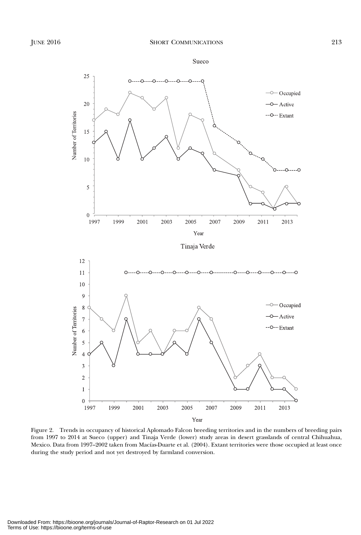

Figure 2. Trends in occupancy of historical Aplomado Falcon breeding territories and in the numbers of breeding pairs from 1997 to 2014 at Sueco (upper) and Tinaja Verde (lower) study areas in desert grasslands of central Chihuahua, Mexico. Data from 1997–2002 taken from Macías-Duarte et al. (2004). Extant territories were those occupied at least once during the study period and not yet destroyed by farmland conversion.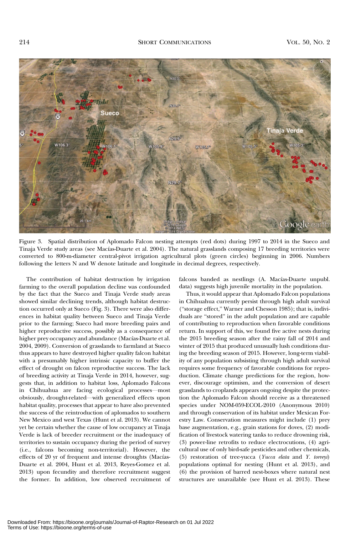

Figure 3. Spatial distribution of Aplomado Falcon nesting attempts (red dots) during 1997 to 2014 in the Sueco and Tinaja Verde study areas (see Macías-Duarte et al. 2004). The natural grasslands composing 17 breeding territories were converted to 800-m-diameter central-pivot irrigation agricultural plots (green circles) beginning in 2006. Numbers following the letters N and W denote latitude and longitude in decimal degrees, respectively.

The contribution of habitat destruction by irrigation farming to the overall population decline was confounded by the fact that the Sueco and Tinaja Verde study areas showed similar declining trends, although habitat destruction occurred only at Sueco (Fig. 3). There were also differences in habitat quality between Sueco and Tinaja Verde prior to the farming; Sueco had more breeding pairs and higher reproductive success, possibly as a consequence of higher prey occupancy and abundance (Macías-Duarte et al. 2004, 2009). Conversion of grasslands to farmland at Sueco thus appears to have destroyed higher quality falcon habitat with a presumably higher intrinsic capacity to buffer the effect of drought on falcon reproductive success. The lack of breeding activity at Tinaja Verde in 2014, however, suggests that, in addition to habitat loss, Aplomado Falcons in Chihuahua are facing ecological processes—most obviously, drought-related—with generalized effects upon habitat quality, processes that appear to have also prevented the success of the reintroduction of aplomados to southern New Mexico and west Texas (Hunt et al. 2013). We cannot yet be certain whether the cause of low occupancy at Tinaja Verde is lack of breeder recruitment or the inadequacy of territories to sustain occupancy during the period of survey (i.e., falcons becoming non-territorial). However, the effects of 20 yr of frequent and intense droughts (Macías-Duarte et al. 2004, Hunt et al. 2013, Reyes-Gomez et al. 2013) upon fecundity and therefore recruitment suggest the former. In addition, low observed recruitment of falcons banded as nestlings (A. Macías-Duarte unpubl. data) suggests high juvenile mortality in the population.

Thus, it would appear that Aplomado Falcon populations in Chihuahua currently persist through high adult survival ("storage effect," Warner and Chesson 1985); that is, individuals are "stored" in the adult population and are capable of contributing to reproduction when favorable conditions return. In support of this, we found five active nests during the 2015 breeding season after the rainy fall of 2014 and winter of 2015 that produced unusually lush conditions during the breeding season of 2015. However, long-term viabil‐ ity of any population subsisting through high adult survival requires some frequency of favorable conditions for reproduction. Climate change predictions for the region, however, discourage optimism, and the conversion of desert grasslands to croplands appears ongoing despite the protection the Aplomado Falcon should receive as a threatened species under NOM-059-ECOL-2010 (Anonymous 2010) and through conservation of its habitat under Mexican Forestry Law. Conservation measures might include (1) prey base augmentation, e.g., grain stations for doves, (2) modification of livestock watering tanks to reduce drowning risk, (3) power-line retrofits to reduce electrocutions, (4) agricultural use of only bird-safe pesticides and other chemicals, (5) restoration of tree-yucca (Yucca elata and Y. torreyi) populations optimal for nesting (Hunt et al. 2013), and (6) the provision of barred nest-boxes where natural nest structures are unavailable (see Hunt et al. 2013). These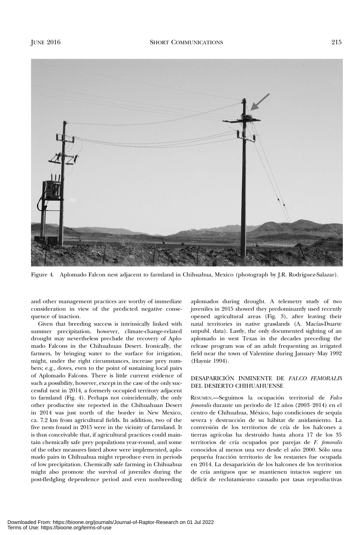

Figure 4. Aplomado Falcon nest adjacent to farmland in Chihuahua, Mexico (photograph by J.R. Rodríguez-Salazar).

and other management practices are worthy of immediate consideration in view of the predicted negative consequence of inaction.

Given that breeding success is intrinsically linked with summer precipitation, however, climate-change-related drought may nevertheless preclude the recovery of Aplomado Falcons in the Chihuahuan Desert. Ironically, the farmers, by bringing water to the surface for irrigation, might, under the right circumstances, increase prey numbers; e.g., doves, even to the point of sustaining local pairs of Aplomado Falcons. There is little current evidence of such a possibility, however, except in the case of the only successful nest in 2014, a formerly occupied territory adjacent to farmland (Fig. 4). Perhaps not coincidentally, the only other productive site reported in the Chihuahuan Desert in 2014 was just north of the border in New Mexico, ca. 7.2 km from agricultural fields. In addition, two of the five nests found in 2015 were in the vicinity of farmland. It is thus conceivable that, if agricultural practices could maintain chemically safe prey populations year-round, and some of the other measures listed above were implemented, aplomado pairs in Chihuahua might reproduce even in periods of low precipitation. Chemically safe farming in Chihuahua might also promote the survival of juveniles during the post-fledgling dependence period and even nonbreeding

aplomados during drought. A telemetry study of two juveniles in 2015 showed they predominantly used recently opened agricultural areas (Fig. 3), after leaving their natal territories in native grasslands (A. Macías-Duarte unpubl. data). Lastly, the only documented sighting of an aplomado in west Texas in the decades preceding the release program was of an adult frequenting an irrigated field near the town of Valentine during January–May 1992 (Haynie 1994).

## DESAPARICIÓN INMINENTE DE FALCO FEMORALIS DEL DESIERTO CHIHUAHUENSE

RESUMEN.—Seguimos la ocupación territorial de Falco femoralis durante un periodo de 12 años (2003–2014) en el centro de Chihuahua, México, bajo condiciones de sequía severa y destrucción de su hábitat de anidamiento. La conversión de los territorios de cría de los halcones a tierras agrícolas ha destruido hasta ahora 17 de los 35 territorios de cría ocupados por parejas de F. femoralis conocidos al menos una vez desde el año 2000. Sólo una pequeña fracción territorio de los restantes fue ocupada en 2014. La desaparición de los halcones de los territorios de cría antiguos que se mantienen intactos sugiere un déficit de reclutamiento causado por tasas reproductivas